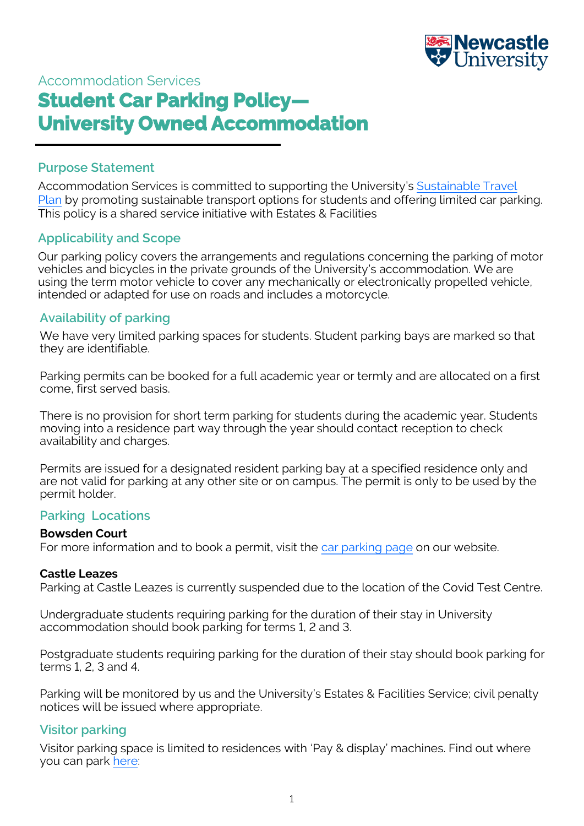

# Accommodation Services **Student Car Parking Policy— University Owned Accommodation**

# **Purpose Statement**

Accommodation Services is committed to supporting the University's [Sustainable Travel](https://www.ncl.ac.uk/sustainable-campus/themes/travel/#transport)  [Plan](https://www.ncl.ac.uk/sustainable-campus/themes/travel/#transport) by promoting sustainable transport options for students and offering limited car parking. This policy is a shared service initiative with Estates & Facilities

# **Applicability and Scope**

Our parking policy covers the arrangements and regulations concerning the parking of motor vehicles and bicycles in the private grounds of the University's accommodation. We are using the term motor vehicle to cover any mechanically or electronically propelled vehicle, intended or adapted for use on roads and includes a motorcycle.

# **Availability of parking**

We have very limited parking spaces for students. Student parking bays are marked so that they are identifiable.

Parking permits can be booked for a full academic year or termly and are allocated on a first come, first served basis.

There is no provision for short term parking for students during the academic year. Students moving into a residence part way through the year should contact reception to check availability and charges.

Permits are issued for a designated resident parking bay at a specified residence only and are not valid for parking at any other site or on campus. The permit is only to be used by the permit holder.

#### **Parking Locations**

#### **Bowsden Court**

For more information and to book a permit, visit the [car parking page](https://www.ncl.ac.uk/accommodation/current-students/parkingandtravel/car-parking/) on our website.

#### **Castle Leazes**

Parking at Castle Leazes is currently suspended due to the location of the Covid Test Centre.

Undergraduate students requiring parking for the duration of their stay in University accommodation should book parking for terms 1, 2 and 3.

Postgraduate students requiring parking for the duration of their stay should book parking for terms 1, 2, 3 and 4.

Parking will be monitored by us and the University's Estates & Facilities Service; civil penalty notices will be issued where appropriate.

## **Visitor parking**

Visitor parking space is limited to residences with 'Pay & display' machines. Find out where you can park [here:](https://www.ncl.ac.uk/accommodation/staff-and-visitors/parking/#contractorsandvisitors)